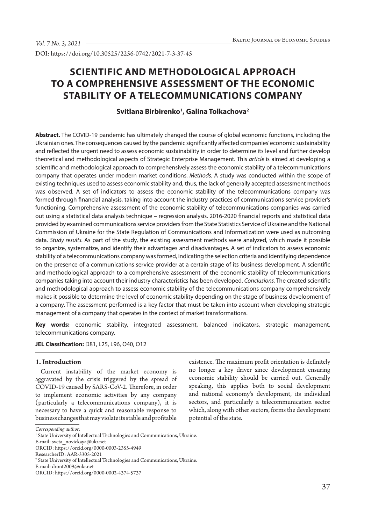DOI: https://doi.org/10.30525/2256-0742/2021-7-3-37-45

# **SCIENTIFIC AND METHODOLOGICAL APPROACH TO A COMPREHENSIVE ASSESSMENT OF THE ECONOMIC STABILITY OF A TELECOMMUNICATIONS COMPANY**

## **Svitlana Birbirenko1 , Galina Tolkachova2**

**Abstract.** The COVID-19 pandemic has ultimately changed the course of global economic functions, including the Ukrainian ones. The consequences caused by the pandemic significantly affected companies' economic sustainability and reflected the urgent need to assess economic sustainability in order to determine its level and further develop theoretical and methodological aspects of Strategic Enterprise Management. This *article* is aimed at developing a scientific and methodological approach to comprehensively assess the economic stability of a telecommunications company that operates under modern market conditions. *Methods.* A study was conducted within the scope of existing techniques used to assess economic stability and, thus, the lack of generally accepted assessment methods was observed. A set of indicators to assess the economic stability of the telecommunications company was formed through financial analysis, taking into account the industry practices of communications service provider's functioning. Comprehensive assessment of the economic stability of telecommunications companies was carried out using a statistical data analysis technique – regression analysis. 2016-2020 financial reports and statistical data provided by examined communications service providers from the State Statistics Service of Ukraine and the National Commission of Ukraine for the State Regulation of Communications and Informatization were used as outcoming data. *Study results.* As part of the study, the existing assessment methods were analyzed, which made it possible to organize, systematize, and identify their advantages and disadvantages. A set of indicators to assess economic stability of a telecommunications company was formed, indicating the selection criteria and identifying dependence on the presence of a communications service provider at a certain stage of its business development. A scientific and methodological approach to a comprehensive assessment of the economic stability of telecommunications companies taking into account their industry characteristics has been developed. *Conclusions.* The created scientific and methodological approach to assess economic stability of the telecommunications company comprehensively makes it possible to determine the level of economic stability depending on the stage of business development of a company. The assessment performed is a key factor that must be taken into account when developing strategic management of a company that operates in the context of market transformations.

**Key words:** economic stability, integrated assessment, balanced indicators, strategic management, telecommunications company.

**JEL Classification:** D81, L25, L96, O40, O12

#### **1. Introduction**

Current instability of the market economy is aggravated by the crisis triggered by the spread of COVID-19 caused by SARS-CoV-2. Therefore, in order to implement economic activities by any company (particularly a telecommunications company), it is necessary to have a quick and reasonable response to business changes that may violate its stable and profitable

existence. The maximum profit orientation is definitely no longer a key driver since development ensuring economic stability should be carried out. Generally speaking, this applies both to social development and national economy's development, its individual sectors, and particularly a telecommunication sector which, along with other sectors, forms the development potential of the state.

*Corresponding author:*

<sup>&</sup>lt;sup>1</sup> State University of Intellectual Technologies and Communications, Ukraine.

E-mail: sveta\_novickaya@ukr.net

ORCID: https://orcid.org/0000-0003-2355-4949

ResearcherID: AAR-3305-2021

<sup>2</sup> State University of Intellectual Technologies and Communications, Ukraine.

E-mail: dront2009@ukr.net

ORCID: https://orcid.org/0000-0002-4374-5737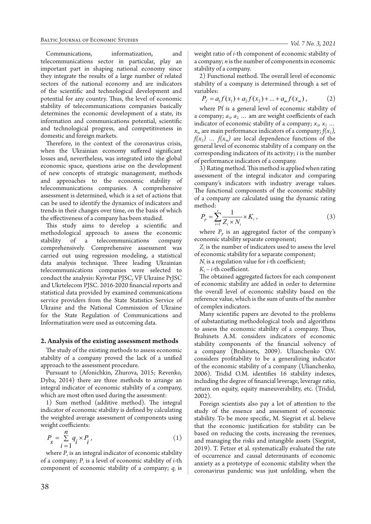Communications, informatization, and telecommunications sector in particular, play an important part in shaping national economy since they integrate the results of a large number of related sectors of the national economy and are indicators of the scientific and technological development and potential for any country. Thus, the level of economic stability of telecommunications companies basically determines the economic development of a state, its information and communications potential, scientific and technological progress, and competitiveness in domestic and foreign markets.

Therefore, in the context of the coronavirus crisis, when the Ukrainian economy suffered significant losses and, nevertheless, was integrated into the global economic space, questions arise on the development of new concepts of strategic management, methods and approaches to the economic stability of telecommunications companies. A comprehensive assessment is determined, which is a set of actions that can be used to identify the dynamics of indicators and trends in their changes over time, on the basis of which the effectiveness of a company has been studied.

This study aims to develop a scientific and methodological approach to assess the economic stability of a telecommunications company comprehensively. Comprehensive assessment was carried out using regression modeling, a statistical data analysis technique. Three leading Ukrainian telecommunications companies were selected to conduct the analysis: Kyivstar PJSC, VF Ukraine PrJSC and Ukrtelecom PJSC. 2016-2020 financial reports and statistical data provided by examined communications service providers from the State Statistics Service of Ukraine and the National Commission of Ukraine for the State Regulation of Communications and Informatization were used as outcoming data.

#### **2. Analysis of the existing assessment methods**

The study of the existing methods to assess economic stability of a company proved the lack of a unified approach to the assessment procedure.

Pursuant to (Afonichkin, Zhurova, 2015; Revenko, Dyba, 2014) there are three methods to arrange an integral indicator of economic stability of a company, which are most often used during the assessment:

1) Sum method (additive method). The integral indicator of economic stability is defined by calculating the weighted average assessment of components using weight coefficients:

$$
P_s = \sum_{i=1}^{n} q_i \times P_i, \qquad (1)
$$

where  $P<sub>s</sub>$  is an integral indicator of economic stability of a company; *Pi* is a level of economic stability of *i*-th component of economic stability of a company;  $q_i$  is weight ratio of *i*-th component of economic stability of a company; *n* is the number of components in economic stability of a company.

2) Functional method. The overall level of economic stability of a company is determined through a set of variables:

$$
P_f = a_1 f(x_1) + a_2 f(x_2) + \dots + a_m f(x_m) , \qquad (2)
$$

where Pf is a general level of economic stability of a company;  $a_1$ ,  $a_2$  ... am are weight coefficients of each indicator of economic stability of a company;  $x_1, x_2, \ldots$  $x_m$  are main performance indicators of a company;  $f(x_1)$ ,  $f(x_2)$  ...  $f(x_m)$  are local dependence functions of the general level of economic stability of a company on the corresponding indicators of its activity; *i* is the number of performance indicators of a company.

3) Rating method. This method is applied when rating assessment of the integral indicator and comparing company's indicators with industry average values. The functional components of the economic stability of a company are calculated using the dynamic rating method:

$$
P_p = \sum_{i=1}^{z} \frac{1}{Z_i \times N_i} \times K_i ,
$$
 (3)

where  $P_p$  is an aggregated factor of the company's economic stability separate component;

 $Z_i$  is the number of indicators used to assess the level of economic stability for a separate component;

*Ni* is a regulation value for *i*-th coefficient;

 $K_i - i$ -th coefficient.

The obtained aggregated factors for each component of economic stability are added in order to determine the overall level of economic stability based on the reference value, which is the sum of units of the number of complex indicators.

Many scientific papers are devoted to the problems of substantiating methodological tools and algorithms to assess the economic stability of a company. Thus, Brahinets A.M. considers indicators of economic stability components of the financial solvency of a company (Brahinets, 2009). Ulianchenko O.V. considers profitability to be a generalizing indicator of the economic stability of a company (Ulianchenko, 2006). Tridid O.M. identifies 16 stability indexes, including the degree of financial leverage, leverage ratio, return on equity, equity maneuverability, etc. (Tridid, 2002).

Foreign scientists also pay a lot of attention to the study of the essence and assessment of economic stability. To be more specific, M. Siegrist et al. believe that the economic justification for stability can be based on reducing the costs, increasing the revenues, and managing the risks and intangible assets (Siegrist, 2019). T. Fetzer et al. systematically evaluated the rate of occurrence and causal determinants of economic anxiety as a prototype of economic stability when the coronavirus pandemic was just unfolding, when the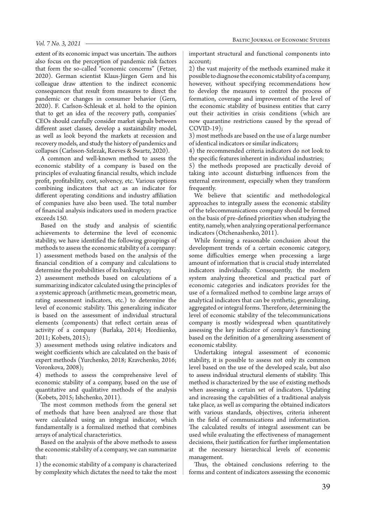extent of its economic impact was uncertain. The authors also focus on the perception of pandemic risk factors that form the so-called "economic concerns" (Fetzer, 2020). German scientist Klaus-Jürgen Gern and his colleague draw attention to the indirect economic consequences that result from measures to direct the pandemic or changes in consumer behavior (Gern, 2020). F. Carlson-Schlesak et al. hold to the opinion that to get an idea of the recovery path, companies' CEOs should carefully consider market signals between different asset classes, develop a sustainability model, as well as look beyond the markets at recession and recovery models, and study the history of pandemics and collapses (Carlsson-Szlezak, Reeves & Swartz, 2020).

A common and well-known method to assess the economic stability of a company is based on the principles of evaluating financial results, which include profit, profitability, cost, solvency, etc. Various options combining indicators that act as an indicator for different operating conditions and industry affiliation of companies have also been used. The total number of financial analysis indicators used in modern practice exceeds 150.

Based on the study and analysis of scientific achievements to determine the level of economic stability, we have identified the following groupings of methods to assess the economic stability of a company: 1) assessment methods based on the analysis of the financial condition of a company and calculations to determine the probabilities of its bankruptcy;

2) assessment methods based on calculations of a summarizing indicator calculated using the principles of a systemic approach (arithmetic mean, geometric mean, rating assessment indicators, etc.) to determine the level of economic stability. This generalizing indicator is based on the assessment of individual structural elements (components) that reflect certain areas of activity of a company (Burlaka, 2014; Hordiienko, 2011; Kobets, 2015);

3) assessment methods using relative indicators and weight coefficients which are calculated on the basis of expert methods (Yurchenko, 2018; Kravchenko, 2016; Voronkova, 2008);

4) methods to assess the comprehensive level of economic stability of a company, based on the use of quantitative and qualitative methods of the analysis (Kobets, 2015; Ishchenko, 2011).

The most common methods from the general set of methods that have been analyzed are those that were calculated using an integral indicator, which fundamentally is a formalized method that combines arrays of analytical characteristics.

Based on the analysis of the above methods to assess the economic stability of a company, we can summarize that:

1) the economic stability of a company is characterized by complexity which dictates the need to take the most important structural and functional components into account;

2) the vast majority of the methods examined make it possible to diagnose the economic stability of a company, however, without specifying recommendations how to develop the measures to control the process of formation, coverage and improvement of the level of the economic stability of business entities that carry out their activities in crisis conditions (which are now quarantine restrictions caused by the spread of  $COVID-19$ ;

3) most methods are based on the use of a large number of identical indicators or similar indicators;

4) the recommended criteria indicators do not look to the specific features inherent in individual industries;

5) the methods proposed are practically devoid of taking into account disturbing influences from the external environment, especially when they transform frequently.

We believe that scientific and methodological approaches to integrally assess the economic stability of the telecommunications company should be formed on the basis of pre-defined priorities when studying the entity, namely, when analyzing operational performance indicators (Otchenashenko, 2011).

While forming a reasonable conclusion about the development trends of a certain economic category, some difficulties emerge when processing a large amount of information that is crucial study interrelated indicators individually. Consequently, the modern system analyzing theoretical and practical part of economic categories and indicators provides for the use of a formalized method to combine large arrays of analytical indicators that can be synthetic, generalizing, aggregated or integral forms. Therefore, determining the level of economic stability of the telecommunications company is mostly widespread when quantitatively assessing the key indicator of company's functioning based on the definition of a generalizing assessment of economic stability.

Undertaking integral assessment of economic stability, it is possible to assess not only its common level based on the use of the developed scale, but also to assess individual structural elements of stability. This method is characterized by the use of existing methods when assessing a certain set of indicators. Updating and increasing the capabilities of a traditional analysis take place, as well as comparing the obtained indicators with various standards, objectives, criteria inherent in the field of communications and informatization. The calculated results of integral assessment can be used while evaluating the effectiveness of management decisions, their justification for further implementation at the necessary hierarchical levels of economic management.

Thus, the obtained conclusions referring to the forms and content of indicators assessing the economic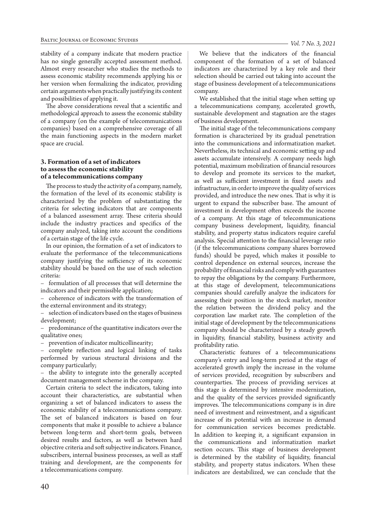stability of a company indicate that modern practice has no single generally accepted assessment method. Almost every researcher who studies the methods to assess economic stability recommends applying his or her version when formalizing the indicator, providing certain arguments when practically justifying its content and possibilities of applying it.

The above considerations reveal that a scientific and methodological approach to assess the economic stability of a company (on the example of telecommunications companies) based on a comprehensive coverage of all the main functioning aspects in the modern market space are crucial.

#### **3. Formation of a set of indicators to assess the economic stability of a telecommunications company**

The process to study the activity of a company, namely, the formation of the level of its economic stability is characterized by the problem of substantiating the criteria for selecting indicators that are components of a balanced assessment array. These criteria should include the industry practices and specifics of the company analyzed, taking into account the conditions of a certain stage of the life cycle.

In our opinion, the formation of a set of indicators to evaluate the performance of the telecommunications company justifying the sufficiency of its economic stability should be based on the use of such selection criteria:

– formulation of all processes that will determine the indicators and their permissible application;

– coherence of indicators with the transformation of the external environment and its strategy;

– selection of indicators based on the stages of business development;

– predominance of the quantitative indicators over the qualitative ones;

– prevention of indicator multicollinearity;

– complete reflection and logical linking of tasks performed by various structural divisions and the company particularly;

– the ability to integrate into the generally accepted document management scheme in the company.

Certain criteria to select the indicators, taking into account their characteristics, are substantial when organizing a set of balanced indicators to assess the economic stability of a telecommunications company. The set of balanced indicators is based on four components that make it possible to achieve a balance between long-term and short-term goals, between desired results and factors, as well as between hard objective criteria and soft subjective indicators. Finance, subscribers, internal business processes, as well as staff training and development, are the components for a telecommunications company.

We believe that the indicators of the financial component of the formation of a set of balanced indicators are characterized by a key role and their selection should be carried out taking into account the stage of business development of a telecommunications company.

We established that the initial stage when setting up a telecommunications company, accelerated growth, sustainable development and stagnation are the stages of business development.

The initial stage of the telecommunications company formation is characterized by its gradual penetration into the communications and informatization market. Nevertheless, its technical and economic setting up and assets accumulate intensively. A company needs high potential, maximum mobilization of financial resources to develop and promote its services to the market, as well as sufficient investment in fixed assets and infrastructure, in order to improve the quality of services provided, and introduce the new ones. That is why it is urgent to expand the subscriber base. The amount of investment in development often exceeds the income of a company. At this stage of telecommunications company business development, liquidity, financial stability, and property status indicators require careful analysis. Special attention to the financial leverage ratio (if the telecommunications company shares borrowed funds) should be payed, which makes it possible to control dependence on external sources, increase the probability of financial risks and comply with guarantees to repay the obligations by the company. Furthermore, at this stage of development, telecommunications companies should carefully analyze the indicators for assessing their position in the stock market, monitor the relation between the dividend policy and the corporation law market rate. The completion of the initial stage of development by the telecommunications company should be characterized by a steady growth in liquidity, financial stability, business activity and profitability ratio.

Characteristic features of a telecommunications company's entry and long-term period at the stage of accelerated growth imply the increase in the volume of services provided, recognition by subscribers and counterparties. The process of providing services at this stage is determined by intensive modernization, and the quality of the services provided significantly improves. The telecommunications company is in dire need of investment and reinvestment, and a significant increase of its potential with an increase in demand for communication services becomes predictable. In addition to keeping it, a significant expansion in the communications and informatization market section occurs. This stage of business development is determined by the stability of liquidity, financial stability, and property status indicators. When these indicators are destabilized, we can conclude that the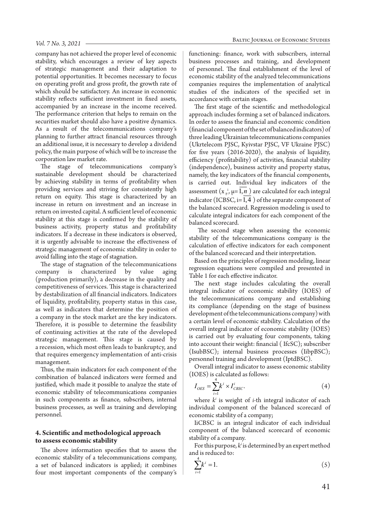company has not achieved the proper level of economic stability, which encourages a review of key aspects of strategic management and their adaptation to potential opportunities. It becomes necessary to focus on operating profit and gross profit, the growth rate of which should be satisfactory. An increase in economic stability reflects sufficient investment in fixed assets, accompanied by an increase in the income received. The performance criterion that helps to remain on the securities market should also have a positive dynamics. As a result of the telecommunications company's planning to further attract financial resources through an additional issue, it is necessary to develop a dividend policy, the main purpose of which will be to increase the corporation law market rate.

The stage of telecommunications company's sustainable development should be characterized by achieving stability in terms of profitability when providing services and striving for consistently high return on equity. This stage is characterized by an increase in return on investment and an increase in return on invested capital. A sufficient level of economic stability at this stage is confirmed by the stability of business activity, property status and profitability indicators. If a decrease in these indicators is observed, it is urgently advisable to increase the effectiveness of strategic management of economic stability in order to avoid falling into the stage of stagnation.

The stage of stagnation of the telecommunications company is characterized by value aging (production primarily), a decrease in the quality and competitiveness of services. This stage is characterized by destabilization of all financial indicators. Indicators of liquidity, profitability, property status in this case, as well as indicators that determine the position of a company in the stock market are the key indicators. Therefore, it is possible to determine the feasibility of continuing activities at the rate of the developed strategic management. This stage is caused by a recession, which most often leads to bankruptcy, and that requires emergency implementation of anti-crisis management.

Thus, the main indicators for each component of the combination of balanced indicators were formed and justified, which made it possible to analyze the state of economic stability of telecommunications companies in such components as finance, subscribers, internal business processes, as well as training and developing personnel.

#### **4. Scientific and methodological approach to assess economic stability**

The above information specifies that to assess the economic stability of a telecommunications company, a set of balanced indicators is applied; it combines four most important components of the company's

functioning: finance, work with subscribers, internal business processes and training, and development of personnel. The final establishment of the level of economic stability of the analyzed telecommunications companies requires the implementation of analytical studies of the indicators of the specified set in accordance with certain stages.

The first stage of the scientific and methodological approach includes forming a set of balanced indicators. In order to assess the financial and economic condition (financial component of the set of balanced indicators) of three leading Ukrainian telecommunications companies (Ukrtelecom PJSC, Kyivstar PJSC, VF Ukraine PJSC) for five years (2016-2020), the analysis of liquidity, efficiency (profitability) of activities, financial stability (independence), business activity and property status, namely, the key indicators of the financial components, is carried out. Individual key indicators of the assessment  $(x_{\mu}, \mu=1, n)$  are calculated for each integral indicator (ICBSC,  $i=1,4$ ) of the separate component of the balanced scorecard. Regression modeling is used to calculate integral indicators for each component of the balanced scorecard.

 The second stage when assessing the economic stability of the telecommunications company is the calculation of effective indicators for each component of the balanced scorecard and their interpretation.

Based on the principles of regression modeling, linear regression equations were compiled and presented in Table 1 for each effective indicator.

The next stage includes calculating the overall integral indicator of economic stability (IOES) of the telecommunications company and establishing its compliance (depending on the stage of business development of the telecommunications company) with a certain level of economic stability. Calculation of the overall integral indicator of economic stability (IOES) is carried out by evaluating four components, taking into account their weight: financial ( IfcSC); subscriber (IsubBSC); internal business processes (IibpBSC); personnel training and development (IptdBSC).

Overall integral indicator to assess economic stability (IOES) is calculated as follows:

$$
I_{OES} = \sum_{i=1}^{4} k^i \times I_{CBSC}^i.
$$
 (4)

where  $k^i$  is weight of *i*-th integral indicator of each individual component of the balanced scorecard of economic stability of a company;

IiCBSC is an integral indicator of each individual component of the balanced scorecard of economic stability of a company.

For this purpose,  $k^i$  is determined by an expert method and is reduced to:

$$
\sum_{i=1}^{4} k^i = 1.
$$
 (5)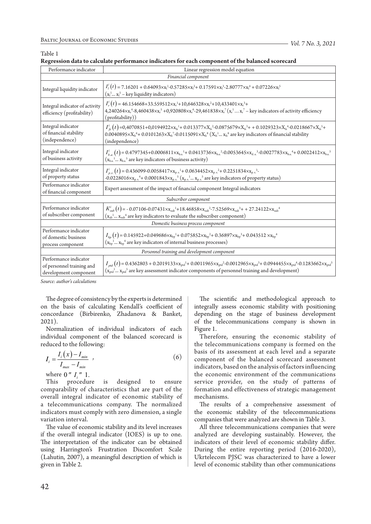Table 1

| Regression data to calculate performance indicators for each component of the balanced scorecard |  |  |  |
|--------------------------------------------------------------------------------------------------|--|--|--|
|--------------------------------------------------------------------------------------------------|--|--|--|

| Performance indicator                                                       | Linear regression model equation                                                                                                                                                                                                                                                                                                                                                           |  |  |
|-----------------------------------------------------------------------------|--------------------------------------------------------------------------------------------------------------------------------------------------------------------------------------------------------------------------------------------------------------------------------------------------------------------------------------------------------------------------------------------|--|--|
| Financial component                                                         |                                                                                                                                                                                                                                                                                                                                                                                            |  |  |
| Integral liquidity indicator                                                | $I_1'(t) = 7.16201 + 0.64093 \times x_1^1 - 0.57285 \times x_1^2 + 0.17591 \times x_1^3 - 2.80777 \times x_1^4 + 0.07226 \times x_1^5$<br>$(x_1^1x_1^5 - \text{key liquidity indicators})$                                                                                                                                                                                                 |  |  |
| Integral indicator of activity<br>efficiency (profitability)                | $I_r^i(t) = 46.154668 + 33.559512 \times x_r^{1} + 10,646328 \times x_r^{2} + 10,433401 \times x_r^{3} +$<br>4,240264×x <sub>r</sub> <sup>4</sup> -8,460438×x <sub>r</sub> <sup>5</sup> +0,920808×x <sub>r</sub> <sup>6</sup> -29,461838×x <sub>r</sub> <sup>7</sup> (x <sub>r</sub> <sup>1</sup> x <sub>r</sub> <sup>7</sup> – key indicators of activity efficiency<br>(profitability))  |  |  |
| Integral indicator<br>of financial stability<br>(independence)              | $I'_{f_8}(t)$ =0,4070851+0,0194922×x <sub>1s</sub> <sup>1</sup> +0.013377×X <sub>1s</sub> <sup>2</sup> -0.0875679×X <sub>1s</sub> <sup>3</sup> ++0.1029323×X <sub>1s</sub> <sup>4</sup> -0.0218667×X <sub>1s</sub> <sup>5</sup> +<br>$0.0040895 \times X_6^6 + 0.0101263 \times X_6^7 - 0.0115091 \times X_6^8 (X_6^1  X_6^8)$ are key indicators of financial stability<br>(independence) |  |  |
| Integral indicator<br>of business activity                                  | $I_{b.a.}^i(t) = 0.4797345 + 0.0006811 \times x_{b.a.}^{1} + 0.0413736 \times x_{b.a.}^{2} - 0.0053645 \times x_{d.a.}^{3} - 0.0027783 \times x_{b.a.}^{4} + 0.0022412 \times x_{b.a.}^{5}$<br>$(x_{b,a}^{1} x_{b,a}^{s})$ are key indicators of business activity)                                                                                                                        |  |  |
| Integral indicator<br>of property status                                    | $I_{p.s.}^{i}(t)$ = 0.436099-0.0058417 $\times$ x <sub>p.s</sub> <sup>1</sup> + 0.0634452 $\times$ x <sub>p.s</sub> <sup>2</sup> + 0.2251834 $\times$ x <sub>p.s</sub> <sup>3</sup> -<br>-0.0228016 $\times x_{p.s.}$ <sup>4</sup> + 0.0001843 $\times x_{p.s.}$ <sup>5</sup> ( $x_{p.s.}$ <sup>5</sup> are key indicators of property status)                                             |  |  |
| Performance indicator<br>of financial component                             | Expert assessment of the impact of financial component Integral indicators                                                                                                                                                                                                                                                                                                                 |  |  |
| Subscriber component                                                        |                                                                                                                                                                                                                                                                                                                                                                                            |  |  |
| Performance indicator<br>of subscriber component                            | $K_{sub}^{i}(t)$ = -0.07106-0.07431× $x_{sub}^{i}$ +18.46858× $x_{sub}^{2}$ -7.52569× $x_{sub}^{i}$ ++27.24122× $x_{sub}^{i}$<br>$\left(x_{ab}{}^{1}\,x_{sub}{}^{4}\right)$ are key indicators to evaluate the subscriber component)                                                                                                                                                       |  |  |
| Domestic business process component                                         |                                                                                                                                                                                                                                                                                                                                                                                            |  |  |
| Performance indicator<br>of domestic business<br>process component          | $I_{bp}(t) = 0.145922 + 0.049686 \times x_{bp}^1 + 0.075852 \times x_{bp}^2 + 0.36897 \times x_{bp}^3 + 0.043512 \times x_{bp}^4$<br>$(x_{bp}^1 x_{bp}^4)$ are key indicators of internal business processes)                                                                                                                                                                              |  |  |
| Personnel training and development component                                |                                                                                                                                                                                                                                                                                                                                                                                            |  |  |
| Performance indicator<br>of personnel training and<br>development component | $I_{pd}(t)$ = 0.4362803 + 0.2019133× $x_{ptd}$ <sup>1</sup> + 0.0011965× $x_{ptd}$ <sup>2</sup> -0.0012965× $x_{ptd}$ 3+ 0.0944455× $x_{ptd}$ <sup>4</sup> -0.1283662× $x_{ptd}$ <sup>5</sup><br>$(x_{ptd}^1 x_{ptd}^s)$ are key assessment indicator components of personnel training and development)                                                                                    |  |  |

*Source: author's calculations*

The degree of consistency by the experts is determined on the basis of calculating Kendall's coefficient of concordance (Birbirenko, Zhadanova & Banket, 2021).

Normalization of individual indicators of each individual component of the balanced scorecard is reduced to the following:

$$
I_i = \frac{I_i(x) - I_{min}}{I_{max} - I_{min}} \tag{6}
$$

where  $0'' I_i'' 1$ .<br>This procedure is designed to ensure comparability of characteristics that are part of the overall integral indicator of economic stability of a telecommunications company. The normalized indicators must comply with zero dimension, a single variation interval.

The value of economic stability and its level increases if the overall integral indicator (IOES) is up to one. The interpretation of the indicator can be obtained using Harrington's Frustration Discomfort Scale (Lahutin, 2007), a meaningful description of which is given in Table 2.

The scientific and methodological approach to integrally assess economic stability with positioning depending on the stage of business development of the telecommunications company is shown in Figure 1.

Therefore, ensuring the economic stability of the telecommunications company is formed on the basis of its assessment at each level and a separate component of the balanced scorecard assessment indicators, based on the analysis of factors influencing the economic environment of the communications service provider, on the study of patterns of formation and effectiveness of strategic management mechanisms.

The results of a comprehensive assessment of the economic stability of the telecommunications companies that were analyzed are shown in Table 3.

All three telecommunications companies that were analyzed are developing sustainably. However, the indicators of their level of economic stability differ. During the entire reporting period (2016-2020), Ukrtelecom PJSC was characterized to have a lower level of economic stability than other communications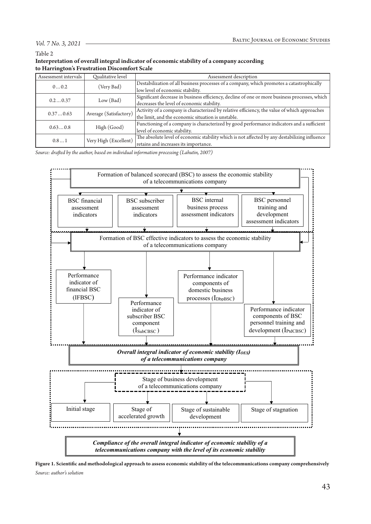#### *Vol. 7 No. 3, 2021*

Table 2

| Interpretation of overall integral indicator of economic stability of a company according |  |
|-------------------------------------------------------------------------------------------|--|
| to Harrington's Frustration Discomfort Scale                                              |  |

| Assessment intervals | <b>Oualitative level</b> | Assessment description                                                                        |  |  |
|----------------------|--------------------------|-----------------------------------------------------------------------------------------------|--|--|
| 00.2                 |                          | Destabilization of all business processes of a company, which promotes a catastrophically     |  |  |
|                      | (Very Bad)               | low level of economic stability.                                                              |  |  |
|                      |                          | Significant decrease in business efficiency, decline of one or more business processes, which |  |  |
| 0.20.37              | Low (Bad)                | decreases the level of economic stability.                                                    |  |  |
| 0.370.63             | Average (Satisfactory)   | Activity of a company is characterized by relative efficiency, the value of which approaches  |  |  |
|                      |                          | the limit, and the economic situation is unstable.                                            |  |  |
|                      | High (Good)              | Functioning of a company is characterized by good performance indicators and a sufficient     |  |  |
| 0.630.8              |                          | level of economic stability.                                                                  |  |  |
| 0.81                 | Very High (Excellent)    | The absolute level of economic stability which is not affected by any destabilizing influence |  |  |
|                      |                          | retains and increases its importance.                                                         |  |  |

*Source: drafted by the author, based on individual information processing (Lahutin, 2007)*



**Figure 1. Scientific and methodological approach to assess economic stability of the telecommunications company comprehensively** *Source: author's solution*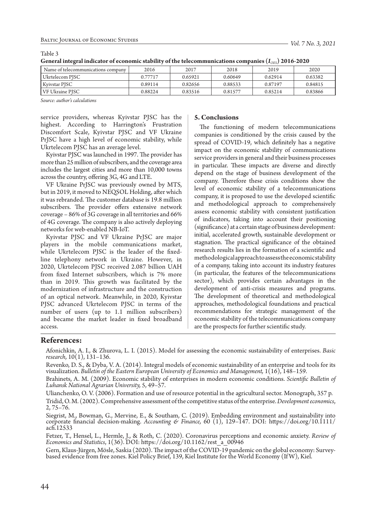| $x = (75)$                         |         |         |         |         |         |
|------------------------------------|---------|---------|---------|---------|---------|
| Name of telecommunications company | 2016    | 2017    | 2018    | 2019    | 2020    |
| Ukrtelecom PJSC                    | 0.77717 | 0.65921 | 0.60649 | 0.62914 | 0.63382 |
| Kyivstar PJSC                      | 0.89114 | 0.82656 | 0.88533 | 0.87197 | 0.84815 |
| <b>VF Ukraine PJSC</b>             | 0.88224 | 0.83516 | 0.81577 | 0.85214 | 0.83866 |

Table 3

| General integral indicator of economic stability of the telecommunications companies $(I_{\rm \scriptscriptstyle OES})$ 2016-2020 |  |
|-----------------------------------------------------------------------------------------------------------------------------------|--|
|-----------------------------------------------------------------------------------------------------------------------------------|--|

*Source: author's calculations*

service providers, whereas Kyivstar PJSC has the highest. According to Harrington's Frustration Discomfort Scale, Kyivstar PJSC and VF Ukraine PrJSC have a high level of economic stability, while Ukrtelecom PJSC has an average level.

Kyivstar PJSC was launched in 1997. The provider has more than 25 million of subscribers, and the coverage area includes the largest cities and more than 10,000 towns across the country, offering 3G, 4G and LTE.

VF Ukraine PrJSC was previously owned by MTS, but in 2019, it moved to NEQSOL Holding, after which it was rebranded. The customer database is 19.8 million subscribers. The provider offers extensive network coverage – 86% of 3G coverage in all territories and 66% of 4G coverage. The company is also actively deploying networks for web-enabled NB-IoT.

Kyivstar PJSC and VF Ukraine PrJSC are major players in the mobile communications market, while Ukrtelecom PJSC is the leader of the fixedline telephony network in Ukraine. However, in 2020, Ukrtelecom PJSC received 2.087 billion UAH from fixed Internet subscribers, which is 7% more than in 2019. This growth was facilitated by the modernization of infrastructure and the construction of an optical network. Meanwhile, in 2020, Kyivstar PJSC advanced Ukrtelecom PJSC in terms of the number of users (up to 1.1 million subscribers) and became the market leader in fixed broadband access.

#### **5. Conclusions**

The functioning of modern telecommunications companies is conditioned by the crisis caused by the spread of COVID-19, which definitely has a negative impact on the economic stability of communications service providers in general and their business processes in particular. These impacts are diverse and directly depend on the stage of business development of the company. Therefore these crisis conditions show the level of economic stability of a telecommunications company, it is proposed to use the developed scientific and methodological approach to comprehensively assess economic stability with consistent justification of indicators, taking into account their positioning (significance) at a certain stage of business development: initial, accelerated growth, sustainable development or stagnation. The practical significance of the obtained research results lies in the formation of a scientific and methodological approach to assess the economic stability of a company, taking into account its industry features (in particular, the features of the telecommunications sector), which provides certain advantages in the development of anti-crisis measures and programs. The development of theoretical and methodological approaches, methodological foundations and practical recommendations for strategic management of the economic stability of the telecommunications company are the prospects for further scientific study.

### **References:**

Afonichkin, A. I., & Zhurova, L. I. (2015). Model for assessing the economic sustainability of enterprises. *Basic research,* 10(1), 131–136.

Revenko, D. S., & Dyba, V. A. (2014). Integral models of economic sustainability of an enterprise and tools for its visualization. *Bulletin of the Eastern European University of Economics and Management,* 1(16), 148–159.

Brahinets, A. M. (2009). Economic stability of enterprises in modern economic conditions. *Scientific Bulletin of Luhansk National Agrarian University,* 5, 49–57.

Ulianchenko, O. V. (2006). Formation and use of resource potential in the agricultural sector. Monograph, 357 p. Tridid, O. M. (2002). Comprehensive assessment of the competitive status of the enterprise. *Development economics*, 2, 75–76.

Siegrist, M., Bowman, G., Mervine, E., & Southam, C. (2019). Embedding environment and sustainability into corporate financial decision‐making. *Accounting & Finance,* 60 (1), 129–147. DOI: https://doi.org/10.1111/ acfi.12533

Fetzer, T., Hensel, L., Hermle, J., & Roth, C. (2020). Coronavirus perceptions and economic anxiety. *Review of Economics and Statistics*, 1(36). DOI: https://doi.org/10.1162/rest\_a\_00946

Gern, Klaus-Jürgen, Mösle, Saskia (2020). The impact of the COVID-19 pandemic on the global economy: Surveybased evidence from free zones. Kiel Policy Brief, 139, Kiel Institute for the World Economy (If W), Kiel.